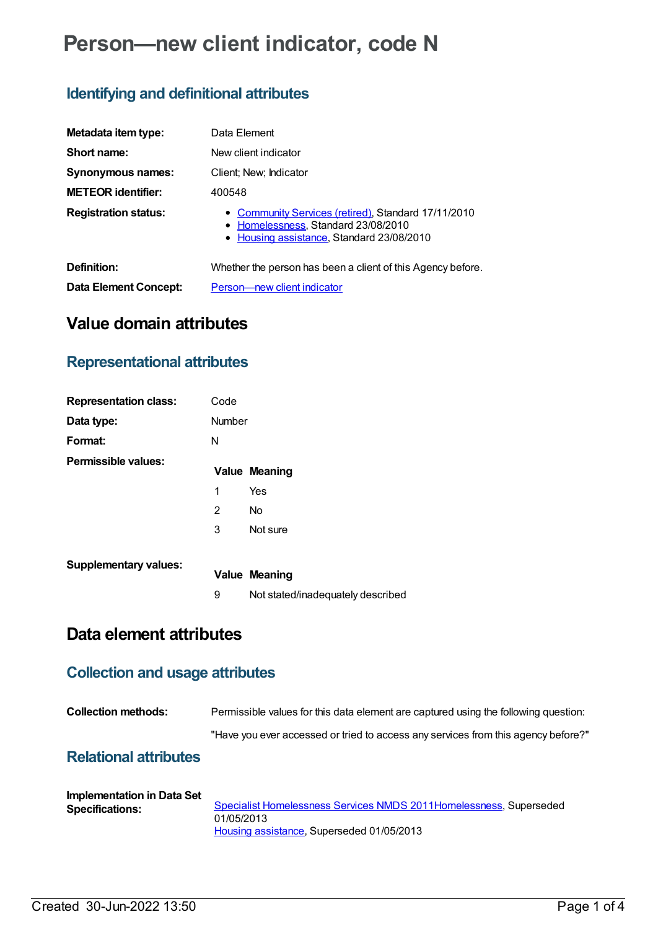# **Person—new client indicator, code N**

## **Identifying and definitional attributes**

| Metadata item type:          | Data Element                                                                                                                            |
|------------------------------|-----------------------------------------------------------------------------------------------------------------------------------------|
| Short name:                  | New client indicator                                                                                                                    |
| <b>Synonymous names:</b>     | Client; New; Indicator                                                                                                                  |
| <b>METEOR</b> identifier:    | 400548                                                                                                                                  |
| <b>Registration status:</b>  | • Community Services (retired), Standard 17/11/2010<br>• Homelessness, Standard 23/08/2010<br>• Housing assistance, Standard 23/08/2010 |
| Definition:                  | Whether the person has been a client of this Agency before.                                                                             |
| <b>Data Element Concept:</b> | Person-new client indicator                                                                                                             |

# **Value domain attributes**

### **Representational attributes**

| <b>Representation class:</b> | Code   |                                   |
|------------------------------|--------|-----------------------------------|
| Data type:                   | Number |                                   |
| Format:                      | N      |                                   |
| Permissible values:          |        | <b>Value Meaning</b>              |
|                              | 1      | Yes                               |
|                              | 2      | No.                               |
|                              | 3      | Not sure                          |
| <b>Supplementary values:</b> |        | <b>Value Meaning</b>              |
|                              | 9      | Not stated/inadequately described |

# **Data element attributes**

### **Collection and usage attributes**

| <b>Collection methods:</b>   | Permissible values for this data element are captured using the following question: |
|------------------------------|-------------------------------------------------------------------------------------|
|                              | "Have you ever accessed or tried to access any services from this agency before?"   |
| <b>Relational attributes</b> |                                                                                     |

| Implementation in Data Set |                                                                     |
|----------------------------|---------------------------------------------------------------------|
| <b>Specifications:</b>     | Specialist Homelessness Services NMDS 2011 Homelessness, Superseded |
|                            | 01/05/2013                                                          |
|                            | Housing assistance, Superseded 01/05/2013                           |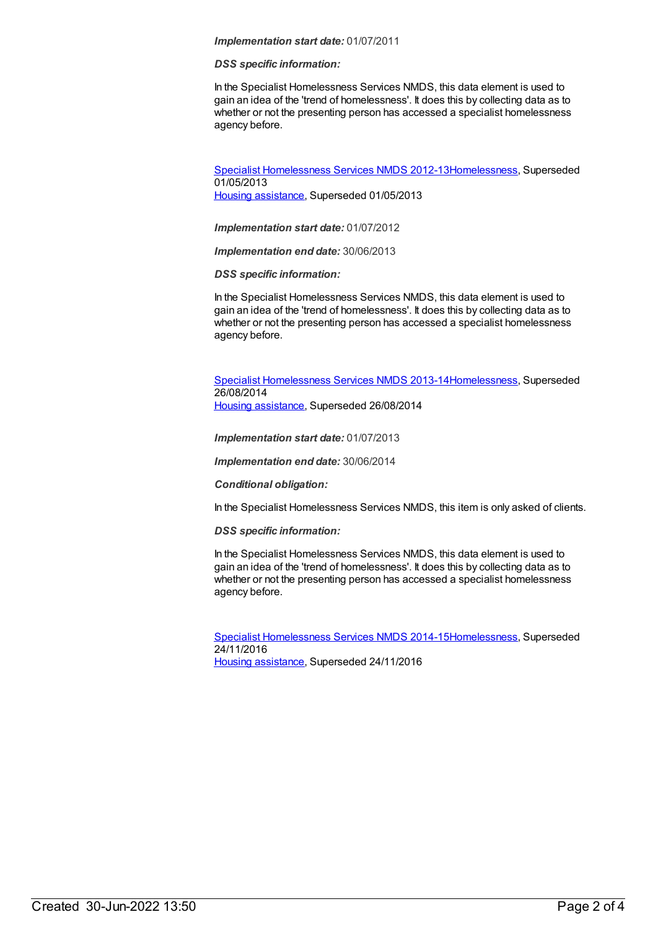#### *Implementation start date:* 01/07/2011

#### *DSS specific information:*

In the Specialist Homelessness Services NMDS, this data element is used to gain an idea of the 'trend of homelessness'. It does this by collecting data as to whether or not the presenting person has accessed a specialist homelessness agency before.

Specialist [Homelessness](https://meteor.aihw.gov.au/content/508954) Services NMDS 2012-1[3Homelessness](https://meteor.aihw.gov.au/RegistrationAuthority/14), Superseded 01/05/2013 Housing [assistance](https://meteor.aihw.gov.au/RegistrationAuthority/11), Superseded 01/05/2013

*Implementation start date:* 01/07/2012

*Implementation end date:* 30/06/2013

*DSS specific information:*

In the Specialist Homelessness Services NMDS, this data element is used to gain an idea of the 'trend of homelessness'. It does this by collecting data as to whether or not the presenting person has accessed a specialist homelessness agency before.

Specialist [Homelessness](https://meteor.aihw.gov.au/content/505626) Services NMDS 2013-1[4Homelessness](https://meteor.aihw.gov.au/RegistrationAuthority/14), Superseded 26/08/2014

Housing [assistance](https://meteor.aihw.gov.au/RegistrationAuthority/11), Superseded 26/08/2014

*Implementation start date:* 01/07/2013

*Implementation end date:* 30/06/2014

*Conditional obligation:*

In the Specialist Homelessness Services NMDS, this item is only asked of clients.

*DSS specific information:*

In the Specialist Homelessness Services NMDS, this data element is used to gain an idea of the 'trend of homelessness'. It does this by collecting data as to whether or not the presenting person has accessed a specialist homelessness agency before.

Specialist [Homelessness](https://meteor.aihw.gov.au/content/581255) Services NMDS 2014-1[5Homelessness](https://meteor.aihw.gov.au/RegistrationAuthority/14), Superseded 24/11/2016 Housing [assistance](https://meteor.aihw.gov.au/RegistrationAuthority/11), Superseded 24/11/2016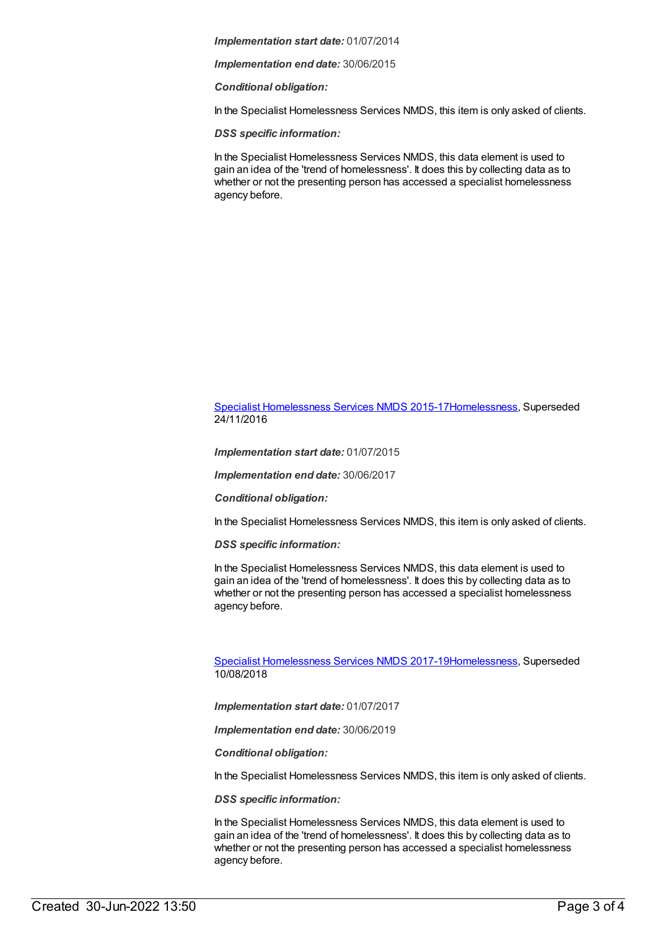*Implementation start date:* 01/07/2014

*Implementation end date:* 30/06/2015

*Conditional obligation:*

In the Specialist Homelessness Services NMDS, this item is only asked of clients.

*DSS specific information:*

In the Specialist Homelessness Services NMDS, this data element is used to gain an idea of the 'trend of homelessness'. It does this by collecting data as to whether or not the presenting person has accessed a specialist homelessness agency before.

### Specialist [Homelessness](https://meteor.aihw.gov.au/content/658005) Services NMDS 2015-1[7Homelessness](https://meteor.aihw.gov.au/RegistrationAuthority/14), Superseded 24/11/2016

*Implementation start date:* 01/07/2015

*Implementation end date:* 30/06/2017

*Conditional obligation:*

In the Specialist Homelessness Services NMDS, this item is only asked of clients.

*DSS specific information:*

In the Specialist Homelessness Services NMDS, this data element is used to gain an idea of the 'trend of homelessness'. It does this by collecting data as to whether or not the presenting person has accessed a specialist homelessness agency before.

Specialist [Homelessness](https://meteor.aihw.gov.au/content/650006) Services NMDS 2017-1[9Homelessness](https://meteor.aihw.gov.au/RegistrationAuthority/14), Superseded 10/08/2018

*Implementation start date:* 01/07/2017

*Implementation end date:* 30/06/2019

*Conditional obligation:*

In the Specialist Homelessness Services NMDS, this item is only asked of clients.

*DSS specific information:*

In the Specialist Homelessness Services NMDS, this data element is used to gain an idea of the 'trend of homelessness'. It does this by collecting data as to whether or not the presenting person has accessed a specialist homelessness agency before.